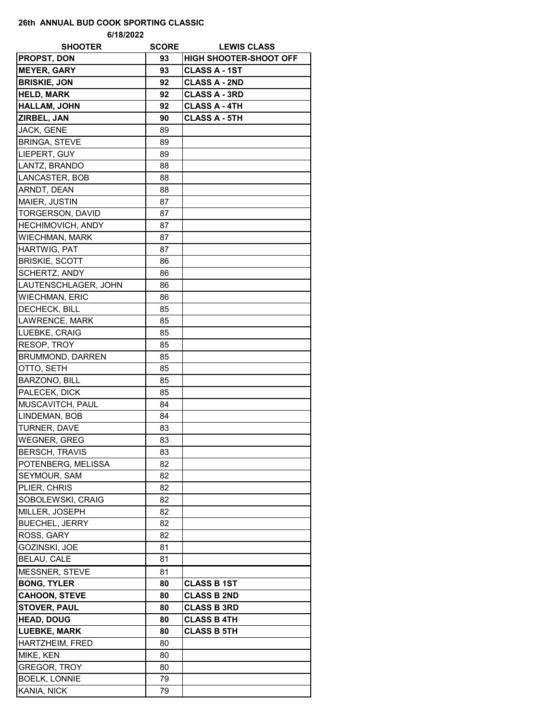## **26th ANNUAL BUD COOK SPORTING CLASSIC**

**6/18/2022**

| <b>SHOOTER</b>           | <b>SCORE</b> | <b>LEWIS CLASS</b>            |
|--------------------------|--------------|-------------------------------|
| <b>PROPST, DON</b>       | 93           | <b>HIGH SHOOTER-SHOOT OFF</b> |
| <b>MEYER, GARY</b>       | 93           | <b>CLASS A - 1ST</b>          |
| <b>BRISKIE, JON</b>      | 92           | <b>CLASS A - 2ND</b>          |
| <b>HELD, MARK</b>        | 92           | <b>CLASS A - 3RD</b>          |
| <b>HALLAM, JOHN</b>      | 92           | <b>CLASS A - 4TH</b>          |
| ZIRBEL, JAN              | 90           | <b>CLASS A - 5TH</b>          |
| <b>JACK, GENE</b>        | 89           |                               |
| <b>BRINGA, STEVE</b>     | 89           |                               |
| LIEPERT, GUY             | 89           |                               |
| LANTZ, BRANDO            | 88           |                               |
| LANCASTER, BOB           | 88           |                               |
| ARNDT, DEAN              | 88           |                               |
| MAIER, JUSTIN            | 87           |                               |
| TORGERSON, DAVID         | 87           |                               |
| <b>HECHIMOVICH, ANDY</b> | 87           |                               |
| <b>WIECHMAN, MARK</b>    | 87           |                               |
| <b>HARTWIG, PAT</b>      | 87           |                               |
| <b>BRISKIE, SCOTT</b>    | 86           |                               |
| SCHERTZ, ANDY            | 86           |                               |
| LAUTENSCHLAGER, JOHN     | 86           |                               |
| <b>WIECHMAN, ERIC</b>    | 86           |                               |
| <b>DECHECK, BILL</b>     | 85           |                               |
| LAWRENCE, MARK           | 85           |                               |
| LUEBKE, CRAIG            | 85           |                               |
| RESOP, TROY              | 85           |                               |
| <b>BRUMMOND, DARREN</b>  | 85           |                               |
| OTTO, SETH               | 85           |                               |
| BARZONO, BILL            | 85           |                               |
| PALECEK, DICK            | 85           |                               |
| MUSCAVITCH, PAUL         | 84           |                               |
| LINDEMAN, BOB            | 84           |                               |
| TURNER, DAVE             | 83           |                               |
| <b>WEGNER, GREG</b>      | 83           |                               |
| <b>BERSCH, TRAVIS</b>    | 83           |                               |
| POTENBERG, MELISSA       | 82           |                               |
| SEYMOUR, SAM             | 82           |                               |
| PLIER, CHRIS             | 82           |                               |
| SOBOLEWSKI, CRAIG        | 82           |                               |
| MILLER, JOSEPH           | 82           |                               |
| <b>BUECHEL, JERRY</b>    | 82           |                               |
| ROSS, GARY               | 82           |                               |
| GOZINSKI, JOE            | 81           |                               |
| BELAU, CALE              | 81           |                               |
| MESSNER, STEVE           | 81           |                               |
| <b>BONG, TYLER</b>       | 80           | <b>CLASS B 1ST</b>            |
| <b>CAHOON, STEVE</b>     | 80           | <b>CLASS B 2ND</b>            |
| <b>STOVER, PAUL</b>      | 80           | <b>CLASS B 3RD</b>            |
| <b>HEAD, DOUG</b>        | 80           | <b>CLASS B 4TH</b>            |
| <b>LUEBKE, MARK</b>      | 80           | <b>CLASS B 5TH</b>            |
| HARTZHEIM, FRED          | 80           |                               |
| MIKE, KEN                | 80           |                               |
| GREGOR, TROY             | 80           |                               |
| <b>BOELK, LONNIE</b>     | 79           |                               |
| KANIA, NICK              | 79           |                               |
|                          |              |                               |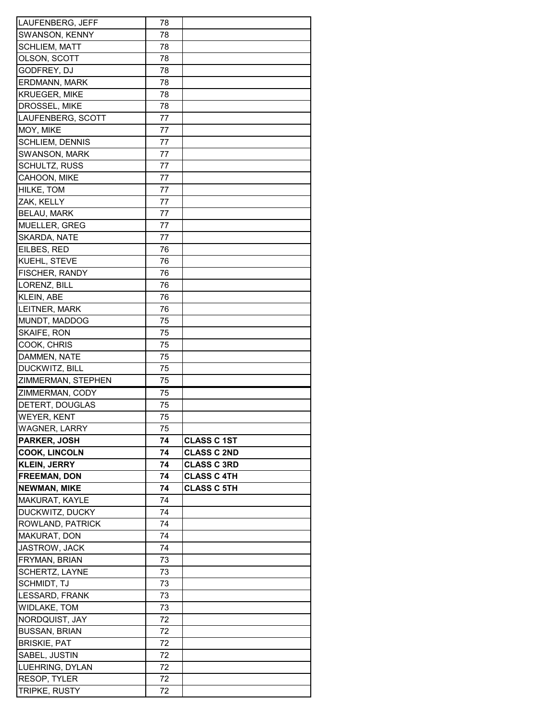| LAUFENBERG, JEFF     | 78 |                    |
|----------------------|----|--------------------|
| SWANSON, KENNY       | 78 |                    |
| <b>SCHLIEM, MATT</b> | 78 |                    |
| OLSON, SCOTT         | 78 |                    |
| GODFREY, DJ          | 78 |                    |
| ERDMANN, MARK        | 78 |                    |
| <b>KRUEGER, MIKE</b> | 78 |                    |
| DROSSEL, MIKE        | 78 |                    |
| LAUFENBERG, SCOTT    | 77 |                    |
| MOY, MIKE            | 77 |                    |
| SCHLIEM, DENNIS      | 77 |                    |
| SWANSON, MARK        | 77 |                    |
| SCHULTZ, RUSS        | 77 |                    |
| CAHOON, MIKE         | 77 |                    |
| HILKE, TOM           | 77 |                    |
| ZAK, KELLY           | 77 |                    |
| <b>BELAU, MARK</b>   | 77 |                    |
| MUELLER, GREG        | 77 |                    |
| <b>SKARDA, NATE</b>  | 77 |                    |
| EILBES, RED          | 76 |                    |
| KUEHL, STEVE         | 76 |                    |
| FISCHER, RANDY       | 76 |                    |
| LORENZ, BILL         | 76 |                    |
| KLEIN, ABE           | 76 |                    |
| LEITNER, MARK        | 76 |                    |
| MUNDT, MADDOG        | 75 |                    |
| SKAIFE, RON          | 75 |                    |
| COOK, CHRIS          | 75 |                    |
| DAMMEN, NATE         | 75 |                    |
| DUCKWITZ, BILL       | 75 |                    |
| ZIMMERMAN, STEPHEN   | 75 |                    |
| ZIMMERMAN, CODY      | 75 |                    |
| DETERT, DOUGLAS      | 75 |                    |
| WEYER, KENT          | 75 |                    |
| <b>WAGNER, LARRY</b> | 75 |                    |
| PARKER, JOSH         | 74 | <b>CLASS C 1ST</b> |
| <b>COOK, LINCOLN</b> | 74 | <b>CLASS C 2ND</b> |
| <b>KLEIN, JERRY</b>  | 74 | <b>CLASS C 3RD</b> |
| <b>FREEMAN, DON</b>  | 74 | <b>CLASS C 4TH</b> |
| <b>NEWMAN, MIKE</b>  | 74 | <b>CLASS C 5TH</b> |
| MAKURAT, KAYLE       | 74 |                    |
| DUCKWITZ, DUCKY      | 74 |                    |
| ROWLAND, PATRICK     | 74 |                    |
| MAKURAT, DON         | 74 |                    |
| JASTROW, JACK        | 74 |                    |
| FRYMAN, BRIAN        | 73 |                    |
| SCHERTZ, LAYNE       | 73 |                    |
| SCHMIDT, TJ          | 73 |                    |
| LESSARD, FRANK       | 73 |                    |
| <b>WIDLAKE, TOM</b>  | 73 |                    |
| NORDQUIST, JAY       | 72 |                    |
| <b>BUSSAN, BRIAN</b> | 72 |                    |
| <b>BRISKIE, PAT</b>  | 72 |                    |
| SABEL, JUSTIN        | 72 |                    |
| LUEHRING, DYLAN      | 72 |                    |
| RESOP, TYLER         | 72 |                    |
| TRIPKE, RUSTY        | 72 |                    |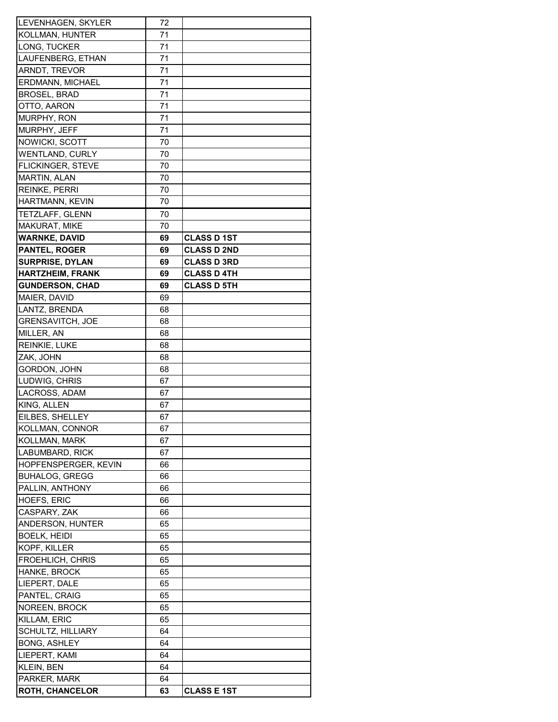| LEVENHAGEN, SKYLER      | 72 |                    |
|-------------------------|----|--------------------|
| KOLLMAN, HUNTER         | 71 |                    |
| LONG, TUCKER            | 71 |                    |
| LAUFENBERG, ETHAN       | 71 |                    |
| <b>ARNDT, TREVOR</b>    | 71 |                    |
| <b>ERDMANN, MICHAEL</b> | 71 |                    |
| BROSEL, BRAD            | 71 |                    |
| OTTO, AARON             | 71 |                    |
| MURPHY, RON             | 71 |                    |
| MURPHY, JEFF            | 71 |                    |
| NOWICKI, SCOTT          | 70 |                    |
| WENTLAND, CURLY         | 70 |                    |
| FLICKINGER, STEVE       | 70 |                    |
| MARTIN, ALAN            | 70 |                    |
| REINKE, PERRI           | 70 |                    |
| HARTMANN, KEVIN         | 70 |                    |
| TETZLAFF, GLENN         | 70 |                    |
| MAKURAT, MIKE           | 70 |                    |
| <b>WARNKE, DAVID</b>    | 69 | <b>CLASS D1ST</b>  |
| <b>PANTEL, ROGER</b>    | 69 | <b>CLASS D 2ND</b> |
|                         |    |                    |
| <b>SURPRISE, DYLAN</b>  | 69 | <b>CLASS D 3RD</b> |
| <b>HARTZHEIM, FRANK</b> | 69 | <b>CLASS D 4TH</b> |
| <b>GUNDERSON, CHAD</b>  | 69 | <b>CLASS D 5TH</b> |
| MAIER, DAVID            | 69 |                    |
| LANTZ, BRENDA           | 68 |                    |
| <b>GRENSAVITCH, JOE</b> | 68 |                    |
| MILLER, AN              | 68 |                    |
| REINKIE, LUKE           | 68 |                    |
| ZAK, JOHN               | 68 |                    |
| GORDON, JOHN            | 68 |                    |
| LUDWIG, CHRIS           | 67 |                    |
| LACROSS, ADAM           | 67 |                    |
| KING, ALLEN             | 67 |                    |
| EILBES, SHELLEY         | 67 |                    |
| KOLLMAN, CONNOR         | 67 |                    |
| KOLLMAN, MARK           | 67 |                    |
| LABUMBARD, RICK         | 67 |                    |
| HOPFENSPERGER, KEVIN    | 66 |                    |
| <b>BUHALOG, GREGG</b>   | 66 |                    |
| PALLIN, ANTHONY         | 66 |                    |
| HOEFS, ERIC             | 66 |                    |
| CASPARY, ZAK            | 66 |                    |
| ANDERSON, HUNTER        | 65 |                    |
| BOELK, HEIDI            | 65 |                    |
| KOPF, KILLER            | 65 |                    |
| FROEHLICH, CHRIS        | 65 |                    |
| HANKE, BROCK            | 65 |                    |
| LIEPERT, DALE           | 65 |                    |
| PANTEL, CRAIG           | 65 |                    |
| NOREEN, BROCK           | 65 |                    |
| KILLAM, ERIC            | 65 |                    |
| SCHULTZ, HILLIARY       | 64 |                    |
| <b>BONG, ASHLEY</b>     | 64 |                    |
| LIEPERT, KAMI           | 64 |                    |
| KLEIN, BEN              | 64 |                    |
| PARKER, MARK            | 64 |                    |
| ROTH, CHANCELOR         | 63 | <b>CLASS E 1ST</b> |